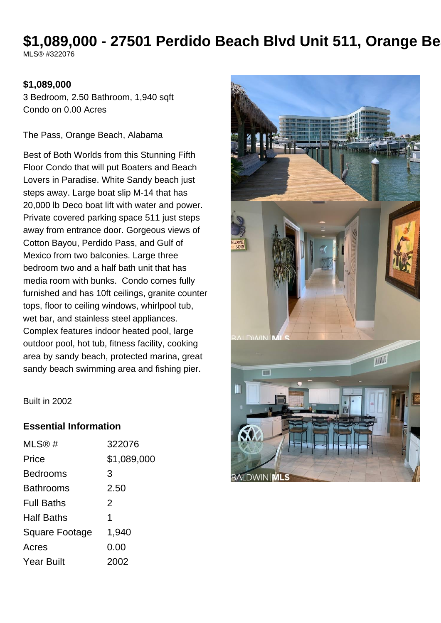## \$1,089,000 - 27501 Perdido Beach Blvd Unit 511, Orange Be MLS® #322076

### **\$1,089,000**

3 Bedroom, 2.50 Bathroom, 1,940 sqft Condo on 0.00 Acres

The Pass, Orange Beach, Alabama

Best of Both Worlds from this Stunning Fifth Floor Condo that will put Boaters and Beach Lovers in Paradise. White Sandy beach just steps away. Large boat slip M-14 that has 20,000 lb Deco boat lift with water and power. Private covered parking space 511 just steps away from entrance door. Gorgeous views of Cotton Bayou, Perdido Pass, and Gulf of Mexico from two balconies. Large three bedroom two and a half bath unit that has media room with bunks. Condo comes fully furnished and has 10ft ceilings, granite counter tops, floor to ceiling windows, whirlpool tub, wet bar, and stainless steel appliances. Complex features indoor heated pool, large outdoor pool, hot tub, fitness facility, cooking area by sandy beach, protected marina, great sandy beach swimming area and fishing pier.



Built in 2002

### **Essential Information**

| MLS@#                 | 322076      |
|-----------------------|-------------|
| Price                 | \$1,089,000 |
| <b>Bedrooms</b>       | 3           |
| <b>Bathrooms</b>      | 2.50        |
| <b>Full Baths</b>     | 2           |
| <b>Half Baths</b>     | 1           |
| <b>Square Footage</b> | 1,940       |
| Acres                 | 0.00        |
| <b>Year Built</b>     | 2002        |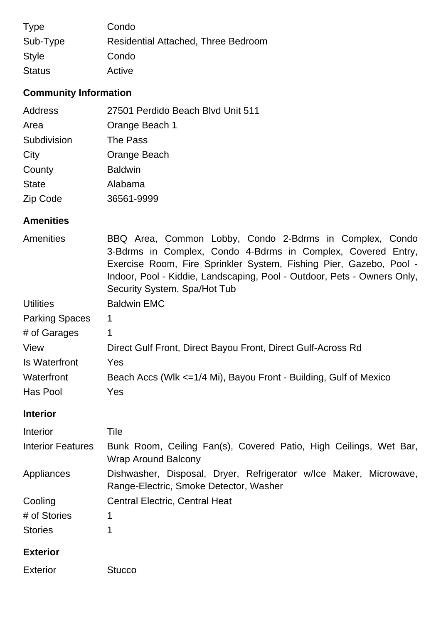| <b>Type</b>   | Condo                                      |
|---------------|--------------------------------------------|
| Sub-Type      | <b>Residential Attached, Three Bedroom</b> |
| <b>Style</b>  | Condo                                      |
| <b>Status</b> | Active                                     |

# **Community Information**

| Address      | 27501 Perdido Beach Blvd Unit 511 |
|--------------|-----------------------------------|
| Area         | Orange Beach 1                    |
| Subdivision  | The Pass                          |
| City         | Orange Beach                      |
| County       | <b>Baldwin</b>                    |
| <b>State</b> | Alabama                           |
| Zip Code     | 36561-9999                        |

## **Amenities**

| BBQ Area, Common Lobby, Condo 2-Bdrms in Complex, Condo<br>3-Bdrms in Complex, Condo 4-Bdrms in Complex, Covered Entry,<br>Exercise Room, Fire Sprinkler System, Fishing Pier, Gazebo, Pool -<br>Indoor, Pool - Kiddie, Landscaping, Pool - Outdoor, Pets - Owners Only, |  |
|--------------------------------------------------------------------------------------------------------------------------------------------------------------------------------------------------------------------------------------------------------------------------|--|
|                                                                                                                                                                                                                                                                          |  |
|                                                                                                                                                                                                                                                                          |  |
|                                                                                                                                                                                                                                                                          |  |
| Direct Gulf Front, Direct Bayou Front, Direct Gulf-Across Rd                                                                                                                                                                                                             |  |
|                                                                                                                                                                                                                                                                          |  |
| Beach Accs (Wlk <=1/4 Mi), Bayou Front - Building, Gulf of Mexico                                                                                                                                                                                                        |  |
|                                                                                                                                                                                                                                                                          |  |
|                                                                                                                                                                                                                                                                          |  |
|                                                                                                                                                                                                                                                                          |  |
| Bunk Room, Ceiling Fan(s), Covered Patio, High Ceilings, Wet Bar,                                                                                                                                                                                                        |  |
| Dishwasher, Disposal, Dryer, Refrigerator w/Ice Maker, Microwave,                                                                                                                                                                                                        |  |
|                                                                                                                                                                                                                                                                          |  |
|                                                                                                                                                                                                                                                                          |  |
|                                                                                                                                                                                                                                                                          |  |
|                                                                                                                                                                                                                                                                          |  |
|                                                                                                                                                                                                                                                                          |  |
|                                                                                                                                                                                                                                                                          |  |